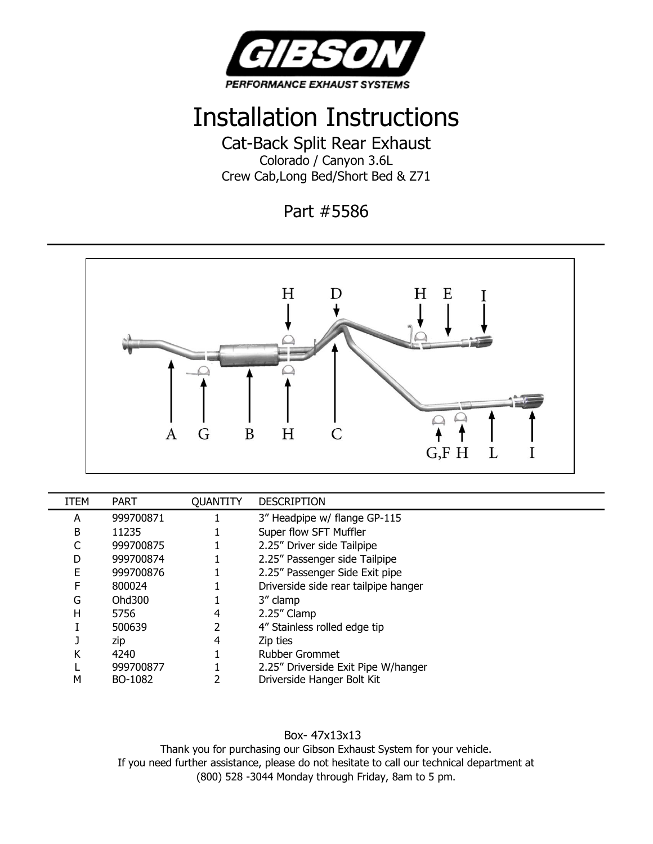

## Installation Instructions

Cat-Back Split Rear Exhaust Colorado / Canyon 3.6L Crew Cab,Long Bed/Short Bed & Z71

Part #5586



| <b>ITEM</b> | PART      | <b>QUANTITY</b> | <b>DESCRIPTION</b>                   |
|-------------|-----------|-----------------|--------------------------------------|
| A           | 999700871 |                 | 3" Headpipe w/ flange GP-115         |
| B           | 11235     |                 | Super flow SFT Muffler               |
|             | 999700875 |                 | 2.25" Driver side Tailpipe           |
| D           | 999700874 |                 | 2.25" Passenger side Tailpipe        |
| E           | 999700876 |                 | 2.25" Passenger Side Exit pipe       |
| F           | 800024    |                 | Driverside side rear tailpipe hanger |
| G           | Ohd300    |                 | 3" clamp                             |
| н           | 5756      | 4               | 2.25" Clamp                          |
|             | 500639    |                 | 4" Stainless rolled edge tip         |
|             | zip       | 4               | Zip ties                             |
| Κ           | 4240      |                 | <b>Rubber Grommet</b>                |
|             | 999700877 |                 | 2.25" Driverside Exit Pipe W/hanger  |
| м           | BO-1082   |                 | Driverside Hanger Bolt Kit           |

Box- 47x13x13

Thank you for purchasing our Gibson Exhaust System for your vehicle. If you need further assistance, please do not hesitate to call our technical department at (800) 528 -3044 Monday through Friday, 8am to 5 pm.